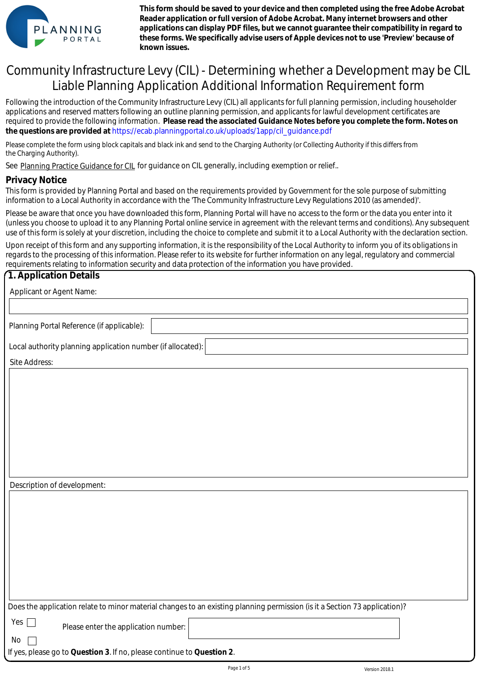

**This form should be saved to your device and then completed using the free Adobe Acrobat Reader application or full version of Adobe Acrobat. Many internet browsers and other applications can display PDF files, but we cannot guarantee their compatibility in regard to these forms. We specifically advise users of Apple devices not to use 'Preview' because of known issues.**

# Community Infrastructure Levy (CIL) - Determining whether a Development may be CIL Liable Planning Application Additional Information Requirement form

Following the introduction of the Community Infrastructure Levy (CIL) all applicants for full planning permission, including householder applications and reserved matters following an outline planning permission, and applicants for lawful development certificates are required to provide the following information. **Please read the associated Guidance Notes before you complete the form. Notes on**  the questions are provided at https://ecab.planningportal.co.uk/uploads/1app/cil\_guidance.pdf

Please complete the form using block capitals and black ink and send to the Charging Authority (or Collecting Authority if this differs from the Charging Authority).

See Planning Practice Guidance for CIL for guidance on CIL generally, including exemption or relief..

#### **Privacy Notice**

This form is provided by Planning Portal and based on the requirements provided by Government for the sole purpose of submitting information to a Local Authority in accordance with the 'The Community Infrastructure Levy Regulations 2010 (as amended)'.

Please be aware that once you have downloaded this form, Planning Portal will have no access to the form or the data you enter into it (unless you choose to upload it to any Planning Portal online service in agreement with the relevant terms and conditions). Any subsequent use of this form is solely at your discretion, including the choice to complete and submit it to a Local Authority with the declaration section.

Upon receipt of this form and any supporting information, it is the responsibility of the Local Authority to inform you of its obligations in regards to the processing of this information. Please refer to its website for further information on any legal, regulatory and commercial requirements relating to information security and data protection of the information you have provided.

### **1. Application Details**

| Applicant or Agent Name:                                                                                                   |
|----------------------------------------------------------------------------------------------------------------------------|
|                                                                                                                            |
| Planning Portal Reference (if applicable):                                                                                 |
| Local authority planning application number (if allocated):                                                                |
| Site Address:                                                                                                              |
|                                                                                                                            |
|                                                                                                                            |
|                                                                                                                            |
|                                                                                                                            |
|                                                                                                                            |
|                                                                                                                            |
|                                                                                                                            |
| Description of development:                                                                                                |
|                                                                                                                            |
|                                                                                                                            |
|                                                                                                                            |
|                                                                                                                            |
|                                                                                                                            |
|                                                                                                                            |
|                                                                                                                            |
|                                                                                                                            |
| Does the application relate to minor material changes to an existing planning permission (is it a Section 73 application)? |
| Yes $\Box$<br>Please enter the application number:                                                                         |
| No                                                                                                                         |
| If yes, please go to Question 3. If no, please continue to Question 2.                                                     |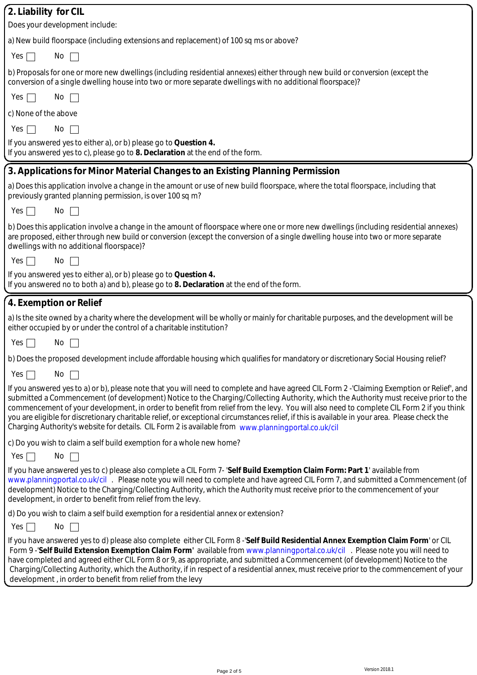| 2. Liability for CIL                                                                                                                                                                                                                                                                                                                                                                                                                                                                                                                                                                                                                                                                    |
|-----------------------------------------------------------------------------------------------------------------------------------------------------------------------------------------------------------------------------------------------------------------------------------------------------------------------------------------------------------------------------------------------------------------------------------------------------------------------------------------------------------------------------------------------------------------------------------------------------------------------------------------------------------------------------------------|
| Does your development include:                                                                                                                                                                                                                                                                                                                                                                                                                                                                                                                                                                                                                                                          |
| a) New build floorspace (including extensions and replacement) of 100 sq ms or above?                                                                                                                                                                                                                                                                                                                                                                                                                                                                                                                                                                                                   |
| Yes<br>No<br>$\mathbf{1}$                                                                                                                                                                                                                                                                                                                                                                                                                                                                                                                                                                                                                                                               |
| b) Proposals for one or more new dwellings (including residential annexes) either through new build or conversion (except the<br>conversion of a single dwelling house into two or more separate dwellings with no additional floorspace)?                                                                                                                                                                                                                                                                                                                                                                                                                                              |
| Yes<br>No.                                                                                                                                                                                                                                                                                                                                                                                                                                                                                                                                                                                                                                                                              |
| c) None of the above                                                                                                                                                                                                                                                                                                                                                                                                                                                                                                                                                                                                                                                                    |
| No<br>Yes                                                                                                                                                                                                                                                                                                                                                                                                                                                                                                                                                                                                                                                                               |
| If you answered yes to either a), or b) please go to Question 4.<br>If you answered yes to c), please go to 8. Declaration at the end of the form.                                                                                                                                                                                                                                                                                                                                                                                                                                                                                                                                      |
| 3. Applications for Minor Material Changes to an Existing Planning Permission                                                                                                                                                                                                                                                                                                                                                                                                                                                                                                                                                                                                           |
| a) Does this application involve a change in the amount or use of new build floorspace, where the total floorspace, including that<br>previously granted planning permission, is over 100 sq m?                                                                                                                                                                                                                                                                                                                                                                                                                                                                                         |
| No<br>Yes                                                                                                                                                                                                                                                                                                                                                                                                                                                                                                                                                                                                                                                                               |
| b) Does this application involve a change in the amount of floorspace where one or more new dwellings (including residential annexes)<br>are proposed, either through new build or conversion (except the conversion of a single dwelling house into two or more separate<br>dwellings with no additional floorspace)?                                                                                                                                                                                                                                                                                                                                                                  |
| Yes<br>No                                                                                                                                                                                                                                                                                                                                                                                                                                                                                                                                                                                                                                                                               |
| If you answered yes to either a), or b) please go to Question 4.<br>If you answered no to both a) and b), please go to 8. Declaration at the end of the form.                                                                                                                                                                                                                                                                                                                                                                                                                                                                                                                           |
| 4. Exemption or Relief                                                                                                                                                                                                                                                                                                                                                                                                                                                                                                                                                                                                                                                                  |
| a) Is the site owned by a charity where the development will be wholly or mainly for charitable purposes, and the development will be<br>either occupied by or under the control of a charitable institution?                                                                                                                                                                                                                                                                                                                                                                                                                                                                           |
| Yes<br>No                                                                                                                                                                                                                                                                                                                                                                                                                                                                                                                                                                                                                                                                               |
| b) Does the proposed development include affordable housing which qualifies for mandatory or discretionary Social Housing relief?                                                                                                                                                                                                                                                                                                                                                                                                                                                                                                                                                       |
| Yes $\vert$<br>No                                                                                                                                                                                                                                                                                                                                                                                                                                                                                                                                                                                                                                                                       |
| If you answered yes to a) or b), please note that you will need to complete and have agreed CIL Form 2 -'Claiming Exemption or Relief', and<br>submitted a Commencement (of development) Notice to the Charging/Collecting Authority, which the Authority must receive prior to the<br>commencement of your development, in order to benefit from relief from the levy. You will also need to complete CIL Form 2 if you think<br>you are eligible for discretionary charitable relief, or exceptional circumstances relief, if this is available in your area. Please check the<br>Charging Authority's website for details. CIL Form 2 is available from www.planningportal.co.uk/cil |
| c) Do you wish to claim a self build exemption for a whole new home?                                                                                                                                                                                                                                                                                                                                                                                                                                                                                                                                                                                                                    |
| Yes<br>No                                                                                                                                                                                                                                                                                                                                                                                                                                                                                                                                                                                                                                                                               |
| If you have answered yes to c) please also complete a CIL Form 7- 'Self Build Exemption Claim Form: Part 1' available from<br>www.planningportal.co.uk/cil. Please note you will need to complete and have agreed CIL Form 7, and submitted a Commencement (of<br>development) Notice to the Charging/Collecting Authority, which the Authority must receive prior to the commencement of your<br>development, in order to benefit from relief from the levy.                                                                                                                                                                                                                           |
| d) Do you wish to claim a self build exemption for a residential annex or extension?                                                                                                                                                                                                                                                                                                                                                                                                                                                                                                                                                                                                    |
| Yes [<br>No<br>$\sim$                                                                                                                                                                                                                                                                                                                                                                                                                                                                                                                                                                                                                                                                   |
| If you have answered yes to d) please also complete either CIL Form 8 -'Self Build Residential Annex Exemption Claim Form' or CIL<br>Form 9 -'Self Build Extension Exemption Claim Form' available from www.planningportal.co.uk/cil . Please note you will need to<br>have completed and agreed either CIL Form 8 or 9, as appropriate, and submitted a Commencement (of development) Notice to the<br>Charging/Collecting Authority, which the Authority, if in respect of a residential annex, must receive prior to the commencement of your<br>development, in order to benefit from relief from the levy                                                                          |
|                                                                                                                                                                                                                                                                                                                                                                                                                                                                                                                                                                                                                                                                                         |
|                                                                                                                                                                                                                                                                                                                                                                                                                                                                                                                                                                                                                                                                                         |
|                                                                                                                                                                                                                                                                                                                                                                                                                                                                                                                                                                                                                                                                                         |
|                                                                                                                                                                                                                                                                                                                                                                                                                                                                                                                                                                                                                                                                                         |
| Version 2018.1<br>Page 2 of 5                                                                                                                                                                                                                                                                                                                                                                                                                                                                                                                                                                                                                                                           |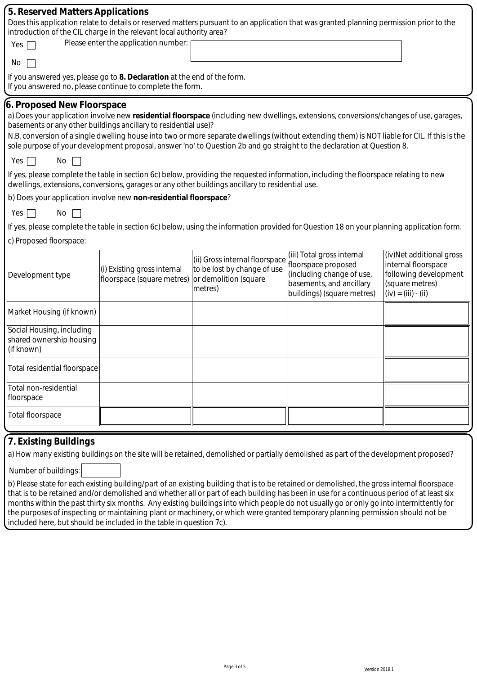| 5. Reserved Matters Applications<br>Does this application relate to details or reserved matters pursuant to an application that was granted planning permission prior to the<br>introduction of the CIL charge in the relevant local authority area?<br>Please enter the application number:<br>Yes                                                                                                                                                                                                                              |                                                           |                                                                                                   |                                                                                                                                           |                                                                                                                      |  |  |  |  |  |  |
|----------------------------------------------------------------------------------------------------------------------------------------------------------------------------------------------------------------------------------------------------------------------------------------------------------------------------------------------------------------------------------------------------------------------------------------------------------------------------------------------------------------------------------|-----------------------------------------------------------|---------------------------------------------------------------------------------------------------|-------------------------------------------------------------------------------------------------------------------------------------------|----------------------------------------------------------------------------------------------------------------------|--|--|--|--|--|--|
| No                                                                                                                                                                                                                                                                                                                                                                                                                                                                                                                               |                                                           |                                                                                                   |                                                                                                                                           |                                                                                                                      |  |  |  |  |  |  |
| If you answered yes, please go to 8. Declaration at the end of the form.<br>If you answered no, please continue to complete the form.                                                                                                                                                                                                                                                                                                                                                                                            |                                                           |                                                                                                   |                                                                                                                                           |                                                                                                                      |  |  |  |  |  |  |
| 6. Proposed New Floorspace<br>a) Does your application involve new residential floorspace (including new dwellings, extensions, conversions/changes of use, garages,<br>basements or any other buildings ancillary to residential use)?<br>N.B. conversion of a single dwelling house into two or more separate dwellings (without extending them) is NOT liable for CIL. If this is the<br>sole purpose of your development proposal, answer 'no' to Question 2b and go straight to the declaration at Question 8.<br>Yes<br>No |                                                           |                                                                                                   |                                                                                                                                           |                                                                                                                      |  |  |  |  |  |  |
| If yes, please complete the table in section 6c) below, providing the requested information, including the floorspace relating to new<br>dwellings, extensions, conversions, garages or any other buildings ancillary to residential use.                                                                                                                                                                                                                                                                                        |                                                           |                                                                                                   |                                                                                                                                           |                                                                                                                      |  |  |  |  |  |  |
| b) Does your application involve new non-residential floorspace?                                                                                                                                                                                                                                                                                                                                                                                                                                                                 |                                                           |                                                                                                   |                                                                                                                                           |                                                                                                                      |  |  |  |  |  |  |
| Yes<br>No                                                                                                                                                                                                                                                                                                                                                                                                                                                                                                                        |                                                           |                                                                                                   |                                                                                                                                           |                                                                                                                      |  |  |  |  |  |  |
|                                                                                                                                                                                                                                                                                                                                                                                                                                                                                                                                  |                                                           |                                                                                                   | If yes, please complete the table in section 6c) below, using the information provided for Question 18 on your planning application form. |                                                                                                                      |  |  |  |  |  |  |
| c) Proposed floorspace:                                                                                                                                                                                                                                                                                                                                                                                                                                                                                                          |                                                           |                                                                                                   |                                                                                                                                           |                                                                                                                      |  |  |  |  |  |  |
| Development type                                                                                                                                                                                                                                                                                                                                                                                                                                                                                                                 | (i) Existing gross internal<br>floorspace (square metres) | (ii) Gross internal floorspace<br>to be lost by change of use<br>or demolition (square<br>metres) | (iii) Total gross internal<br>floorspace proposed<br>(including change of use,<br>basements, and ancillary<br>buildings) (square metres)  | (iv)Net additional gross<br>internal floorspace<br>following development<br>(square metres)<br>$(iv) = (iii) - (ii)$ |  |  |  |  |  |  |
| Market Housing (if known)                                                                                                                                                                                                                                                                                                                                                                                                                                                                                                        |                                                           |                                                                                                   |                                                                                                                                           |                                                                                                                      |  |  |  |  |  |  |
| Social Housing, including<br>shared ownership housing<br>(if known)                                                                                                                                                                                                                                                                                                                                                                                                                                                              |                                                           |                                                                                                   |                                                                                                                                           |                                                                                                                      |  |  |  |  |  |  |
| <b>Total residential floorspace</b>                                                                                                                                                                                                                                                                                                                                                                                                                                                                                              |                                                           |                                                                                                   |                                                                                                                                           |                                                                                                                      |  |  |  |  |  |  |
| Total non-residential<br>floorspace                                                                                                                                                                                                                                                                                                                                                                                                                                                                                              |                                                           |                                                                                                   |                                                                                                                                           |                                                                                                                      |  |  |  |  |  |  |
| <b>Total floorspace</b>                                                                                                                                                                                                                                                                                                                                                                                                                                                                                                          |                                                           |                                                                                                   |                                                                                                                                           |                                                                                                                      |  |  |  |  |  |  |
| 7 Evicting Ruildings                                                                                                                                                                                                                                                                                                                                                                                                                                                                                                             |                                                           |                                                                                                   |                                                                                                                                           |                                                                                                                      |  |  |  |  |  |  |

# **7. Existing Buildings**

a) How many existing buildings on the site will be retained, demolished or partially demolished as part of the development proposed?

Number of buildings:

b) Please state for each existing building/part of an existing building that is to be retained or demolished, the gross internal floorspace that is to be retained and/or demolished and whether all or part of each building has been in use for a continuous period of at least six months within the past thirty six months. Any existing buildings into which people do not usually go or only go into intermittently for the purposes of inspecting or maintaining plant or machinery, or which were granted temporary planning permission should not be included here, but should be included in the table in question 7c).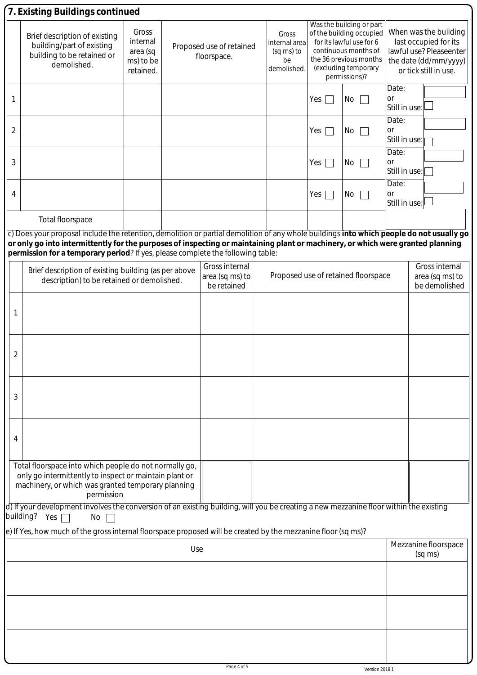|                | 7. Existing Buildings continued                                                                                                                                                                                    |                                                         |  |                                                  |                                                           |                                                                                                                                                                             |                                     |                                                                                                                             |                                                    |  |  |  |
|----------------|--------------------------------------------------------------------------------------------------------------------------------------------------------------------------------------------------------------------|---------------------------------------------------------|--|--------------------------------------------------|-----------------------------------------------------------|-----------------------------------------------------------------------------------------------------------------------------------------------------------------------------|-------------------------------------|-----------------------------------------------------------------------------------------------------------------------------|----------------------------------------------------|--|--|--|
|                | Brief description of existing<br>building/part of existing<br>building to be retained or<br>demolished.                                                                                                            | Gross<br>internal<br>area (sq<br>ms) to be<br>retained. |  | Proposed use of retained<br>floorspace.          | Gross<br>internal area<br>(sq ms) to<br>be<br>demolished. | Was the building or part<br>of the building occupied<br>for its lawful use for 6<br>continuous months of<br>the 36 previous months<br>(excluding temporary<br>permissions)? |                                     | When was the building<br>last occupied for its<br>lawful use? Pleaseenter<br>the date (dd/mm/yyyy)<br>or tick still in use. |                                                    |  |  |  |
| 1              |                                                                                                                                                                                                                    |                                                         |  |                                                  |                                                           | Yes                                                                                                                                                                         | No                                  | Date:<br><b>or</b><br>Still in use:                                                                                         |                                                    |  |  |  |
| $\overline{2}$ |                                                                                                                                                                                                                    |                                                         |  |                                                  |                                                           | Yes                                                                                                                                                                         | No                                  | Date:<br>or<br>Still in use:<br>Date:<br>or<br>Still in use:                                                                |                                                    |  |  |  |
| 3              |                                                                                                                                                                                                                    |                                                         |  |                                                  |                                                           | Yes                                                                                                                                                                         | No                                  |                                                                                                                             |                                                    |  |  |  |
| 4              |                                                                                                                                                                                                                    |                                                         |  |                                                  |                                                           | Yes                                                                                                                                                                         | No                                  | Date:<br>or<br>Still in use:                                                                                                |                                                    |  |  |  |
|                | <b>Total floorspace</b>                                                                                                                                                                                            |                                                         |  |                                                  |                                                           |                                                                                                                                                                             |                                     |                                                                                                                             |                                                    |  |  |  |
|                | c) Does your proposal include the retention, demolition or partial demolition of any whole buildings into which people do not usually go                                                                           |                                                         |  |                                                  |                                                           |                                                                                                                                                                             |                                     |                                                                                                                             |                                                    |  |  |  |
|                | or only go into intermittently for the purposes of inspecting or maintaining plant or machinery, or which were granted planning<br>permission for a temporary period? If yes, please complete the following table: |                                                         |  |                                                  |                                                           |                                                                                                                                                                             |                                     |                                                                                                                             |                                                    |  |  |  |
|                | Brief description of existing building (as per above<br>description) to be retained or demolished.                                                                                                                 |                                                         |  | Gross internal<br>area (sq ms) to<br>be retained |                                                           |                                                                                                                                                                             | Proposed use of retained floorspace |                                                                                                                             | Gross internal<br>area (sq ms) to<br>be demolished |  |  |  |
| 1              |                                                                                                                                                                                                                    |                                                         |  |                                                  |                                                           |                                                                                                                                                                             |                                     |                                                                                                                             |                                                    |  |  |  |
| $\overline{2}$ |                                                                                                                                                                                                                    |                                                         |  |                                                  |                                                           |                                                                                                                                                                             |                                     |                                                                                                                             |                                                    |  |  |  |
| 3              |                                                                                                                                                                                                                    |                                                         |  |                                                  |                                                           |                                                                                                                                                                             |                                     |                                                                                                                             |                                                    |  |  |  |
| 4              |                                                                                                                                                                                                                    |                                                         |  |                                                  |                                                           |                                                                                                                                                                             |                                     |                                                                                                                             |                                                    |  |  |  |
|                | Total floorspace into which people do not normally go,<br>only go intermittently to inspect or maintain plant or<br>machinery, or which was granted temporary planning<br>permission                               |                                                         |  |                                                  |                                                           |                                                                                                                                                                             |                                     |                                                                                                                             |                                                    |  |  |  |
|                | d) If your development involves the conversion of an existing building, will you be creating a new mezzanine floor within the existing<br>building? Yes $\Box$<br>No                                               |                                                         |  |                                                  |                                                           |                                                                                                                                                                             |                                     |                                                                                                                             |                                                    |  |  |  |
|                | e) If Yes, how much of the gross internal floorspace proposed will be created by the mezzanine floor (sq ms)?                                                                                                      |                                                         |  |                                                  |                                                           |                                                                                                                                                                             |                                     |                                                                                                                             |                                                    |  |  |  |
| Use            |                                                                                                                                                                                                                    |                                                         |  |                                                  |                                                           |                                                                                                                                                                             | Mezzanine floorspace<br>(sq ms)     |                                                                                                                             |                                                    |  |  |  |
|                |                                                                                                                                                                                                                    |                                                         |  |                                                  |                                                           |                                                                                                                                                                             |                                     |                                                                                                                             |                                                    |  |  |  |
|                |                                                                                                                                                                                                                    |                                                         |  |                                                  |                                                           |                                                                                                                                                                             |                                     |                                                                                                                             |                                                    |  |  |  |
|                |                                                                                                                                                                                                                    |                                                         |  |                                                  |                                                           |                                                                                                                                                                             |                                     |                                                                                                                             |                                                    |  |  |  |
|                |                                                                                                                                                                                                                    |                                                         |  |                                                  |                                                           |                                                                                                                                                                             |                                     |                                                                                                                             |                                                    |  |  |  |